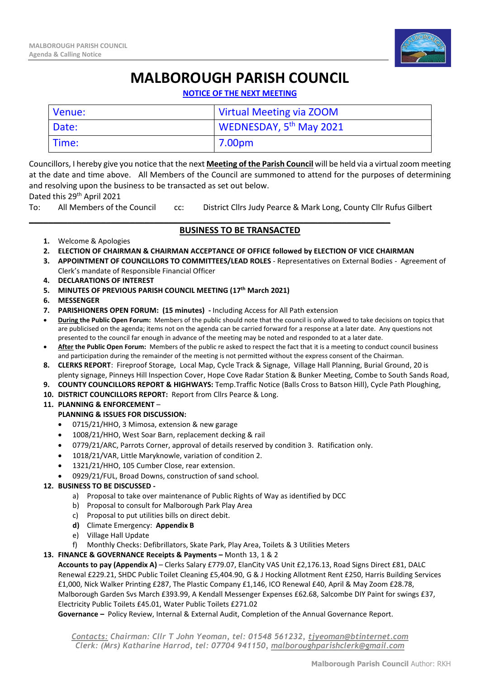

# **MALBOROUGH PARISH COUNCIL**

**NOTICE OF THE NEXT MEETING**

| Venue: | Virtual Meeting via ZOOM            |
|--------|-------------------------------------|
| Date:  | WEDNESDAY, 5 <sup>th</sup> May 2021 |
| Time:  | 7.00pm                              |

Councillors, I hereby give you notice that the next **Meeting of the Parish Council** will be held via a virtual zoom meeting at the date and time above. All Members of the Council are summoned to attend for the purposes of determining and resolving upon the business to be transacted as set out below.

## Dated this 29<sup>th</sup> April 2021

To: All Members of the Council cc: District Cllrs Judy Pearce & Mark Long, County Cllr Rufus Gilbert

### \_\_\_\_\_\_\_\_\_\_\_\_\_\_\_\_\_\_\_\_\_\_\_\_\_\_\_\_\_\_\_\_\_\_\_\_\_\_\_\_\_\_\_\_\_\_\_\_\_\_\_\_\_\_\_\_\_\_\_\_\_\_\_\_\_\_\_\_\_\_\_\_\_\_\_ **BUSINESS TO BE TRANSACTED**

- **1.** Welcome & Apologies
- **2. ELECTION OF CHAIRMAN & CHAIRMAN ACCEPTANCE OF OFFICE followed by ELECTION OF VICE CHAIRMAN**
- **3. APPOINTMENT OF COUNCILLORS TO COMMITTEES/LEAD ROLES** Representatives on External Bodies Agreement of Clerk's mandate of Responsible Financial Officer
- **4. DECLARATIONS OF INTEREST**
- **5. MINUTES OF PREVIOUS PARISH COUNCIL MEETING (17th March 2021)**
- **6. MESSENGER**
- **7. PARISHIONERS OPEN FORUM: (15 minutes) -** Including Access for All Path extension
- **During the Public Open Forum:** Members of the public should note that the council is only allowed to take decisions on topics that are publicised on the agenda; items not on the agenda can be carried forward for a response at a later date. Any questions not presented to the council far enough in advance of the meeting may be noted and responded to at a later date.
- **After the Public Open Forum:** Members of the public re asked to respect the fact that it is a meeting to conduct council business and participation during the remainder of the meeting is not permitted without the express consent of the Chairman.
- **8. CLERKS REPORT**: Fireproof Storage, Local Map, Cycle Track & Signage, Village Hall Planning, Burial Ground, 20 is plenty signage, Pinneys Hill Inspection Cover, Hope Cove Radar Station & Bunker Meeting, Combe to South Sands Road,
- **9. COUNTY COUNCILLORS REPORT & HIGHWAYS:** Temp.Traffic Notice (Balls Cross to Batson Hill), Cycle Path Ploughing,
- **10. DISTRICT COUNCILLORS REPORT:** Report from Cllrs Pearce & Long.

#### **11. PLANNING & ENFORCEMENT** –

## **PLANNING & ISSUES FOR DISCUSSION:**

- 0715/21/HHO, 3 Mimosa, extension & new garage
- 1008/21/HHO, West Soar Barn, replacement decking & rail
- 0779/21/ARC, Parrots Corner, approval of details reserved by condition 3. Ratification only.
- 1018/21/VAR, Little Maryknowle, variation of condition 2.
- 1321/21/HHO, 105 Cumber Close, rear extension.
- 0929/21/FUL, Broad Downs, construction of sand school.

## **12. BUSINESS TO BE DISCUSSED -**

- a) Proposal to take over maintenance of Public Rights of Way as identified by DCC
- b) Proposal to consult for Malborough Park Play Area
- c) Proposal to put utilities bills on direct debit.
- **d)** Climate Emergency: **Appendix B**
- e) Village Hall Update
- f) Monthly Checks: Defibrillators, Skate Park, Play Area, Toilets & 3 Utilities Meters
- **13. FINANCE & GOVERNANCE Receipts & Payments –** Month 13, 1 & 2

**Accounts to pay (Appendix A)** – Clerks Salary £779.07, ElanCity VAS Unit £2,176.13, Road Signs Direct £81, DALC Renewal £229.21, SHDC Public Toilet Cleaning £5,404.90, G & J Hocking Allotment Rent £250, Harris Building Services £1,000, Nick Walker Printing £287, The Plastic Company £1,146, ICO Renewal £40, April & May Zoom £28.78, Malborough Garden Svs March £393.99, A Kendall Messenger Expenses £62.68, Salcombe DIY Paint for swings £37, Electricity Public Toilets £45.01, Water Public Toilets £271.02

**Governance –** Policy Review, Internal & External Audit, Completion of the Annual Governance Report.

*Contacts: Chairman: Cllr T John Yeoman, tel: 01548 561232, [tjyeoman@btinternet.com](mailto:tjyeoman@btinternet.com) Clerk: (Mrs) Katharine Harrod, tel: 07704 941150, [malboroughparishclerk@gmail.com](mailto:malboroughparishclerk@gmail.com)*